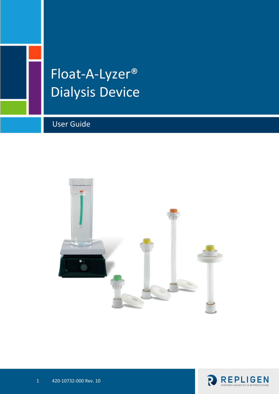# Float-A-Lyzer® Dialysis Device

User Guide



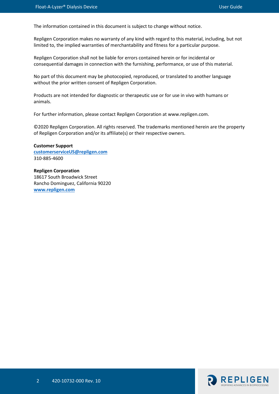The information contained in this document is subject to change without notice.

Repligen Corporation makes no warranty of any kind with regard to this material, including, but not limited to, the implied warranties of merchantability and fitness for a particular purpose.

Repligen Corporation shall not be liable for errors contained herein or for incidental or consequential damages in connection with the furnishing, performance, or use of this material.

No part of this document may be photocopied, reproduced, or translated to another language without the prior written consent of Repligen Corporation.

Products are not intended for diagnostic or therapeutic use or for use in vivo with humans or animals.

For further information, please contact Repligen Corporation at www.repligen.com.

©2020 Repligen Corporation. All rights reserved. The trademarks mentioned herein are the property of Repligen Corporation and/or its affiliate(s) or their respective owners.

**Customer Support [customerserviceUS@repligen.com](mailto:customerserviceUS@repligen.com)** 310-885-4600

**Repligen Corporation** 18617 South Broadwick Street Rancho Dominguez, California 90220 **www.repligen.com**

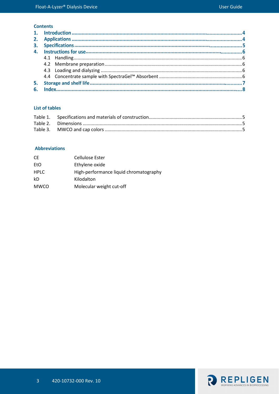#### **Contents**

#### **List of tables**

#### **Abbreviations**

| СE          | Cellulose Ester                        |
|-------------|----------------------------------------|
| EtO         | Ethylene oxide                         |
| <b>HPLC</b> | High-performance liquid chromatography |
| kD          | Kilodalton                             |
| <b>MWCO</b> | Molecular weight cut-off               |

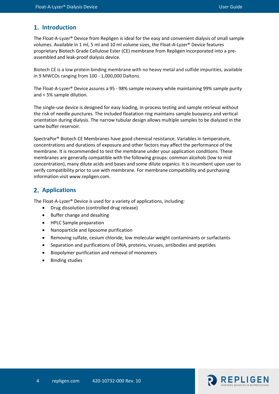## 1. Introduction

The Float-A-Lyzer® Device from Repligen is ideal for the easy and convenient dialysis of small sample volumes. Available in 1 ml, 5 ml and 10 ml volume sizes, the Float-A-Lyzer® Device features proprietary Biotech Grade Cellulose Ester (CE) membrane from Repligen incorporated into a preassembled and leak-proof dialysis device.

Biotech CE is a low protein-binding membrane with no heavy metal and sulfide impurities, available in 9 MWCOs ranging from 100 - 1,000,000 Daltons.

The Float-A-Lyzer® Device assures a 95 - 98% sample recovery while maintaining 99% sample purity and < 5% sample dilution.

The single-use device is designed for easy loading, in-process testing and sample retrieval without the risk of needle punctures. The included floatation ring maintains sample buoyancy and vertical orientation during dialysis. The narrow tubular design allows multiple samples to be dialyzed in the same buffer reservoir.

SpectraPor® Biotech CE Membranes have good chemical resistance. Variables in temperature, concentrations and durations of exposure and other factors may affect the performance of the membrane. It is recommended to test the membrane under your application conditions. These membranes are generally compatible with the following groups: common alcohols (low to mid concentration), many dilute acids and bases and some dilute organics. It is incumbent upon user to verify compatibility prior to use with membrane. For membrane compatibility and purchasing information visit www.repligen.com.

### **Applications**

The Float-A-Lyzer® Device is used for a variety of applications, including:

- Drug dissolution (controlled drug release)
- Buffer change and desalting
- HPLC Sample preparation
- Nanoparticle and liposome purification
- Removing sulfate, cesium chloride, low molecular weight contaminants or surfactants
- Separation and purifications of DNA, proteins, viruses, antibodies and peptides
- Biopolymer purification and removal of monomers
- Binding studies

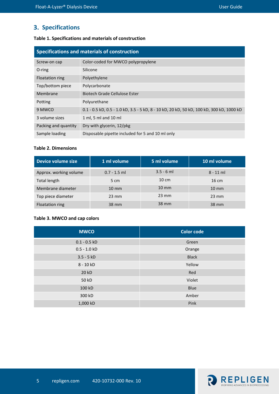# **3. Specifications**

#### <span id="page-4-0"></span>**Table 1. Specifications and materials of construction**

| Specifications and materials of construction |                                                                                          |  |  |
|----------------------------------------------|------------------------------------------------------------------------------------------|--|--|
| Screw-on cap                                 | Color-coded for MWCO polypropylene                                                       |  |  |
| O-ring                                       | Silicone                                                                                 |  |  |
| Floatation ring                              | Polyethylene                                                                             |  |  |
| Top/bottom piece                             | Polycarbonate                                                                            |  |  |
| Membrane                                     | Biotech Grade Cellulose Ester                                                            |  |  |
| Potting                                      | Polyurethane                                                                             |  |  |
| 9 MWCO                                       | 0.1 - 0.5 kD, 0.5 - 1.0 kD, 3.5 - 5 kD, 8 - 10 kD, 20 kD, 50 kD, 100 kD, 300 kD, 1000 kD |  |  |
| 3 volume sizes                               | 1 ml, 5 ml and 10 ml                                                                     |  |  |
| Packing and quantity                         | Dry with glycerin, 12/pkg                                                                |  |  |
| Sample loading                               | Disposable pipette included for 5 and 10 ml only                                         |  |  |

#### <span id="page-4-1"></span>**Table 2. Dimensions**

| Device volume size     | 1 ml volume     | 5 ml volume     | 10 ml volume      |
|------------------------|-----------------|-----------------|-------------------|
| Approx. working volume | $0.7 - 1.5$ ml  | $3.5 - 6$ ml    | $8 - 11$ ml       |
| Total length           | 5 cm            | $10 \text{ cm}$ | $16 \text{ cm}$   |
| Membrane diameter      | $10 \text{ mm}$ | $10 \text{ mm}$ | $10 \, \text{mm}$ |
| Top piece diameter     | $23 \text{ mm}$ | $23 \text{ mm}$ | $23 \text{ mm}$   |
| Floatation ring        | 38 mm           | 38 mm           | 38 mm             |

#### <span id="page-4-2"></span>**Table 3. MWCO and cap colors**

| <b>MWCO</b>    | <b>Color code</b> |
|----------------|-------------------|
| $0.1 - 0.5$ kD | Green             |
| $0.5 - 1.0 kD$ | Orange            |
| $3.5 - 5 kD$   | <b>Black</b>      |
| 8 - 10 kD      | Yellow            |
| 20 kD          | Red               |
| 50 kD          | Violet            |
| 100 kD         | Blue              |
| 300 kD         | Amber             |
| 1,000 kD       | Pink              |

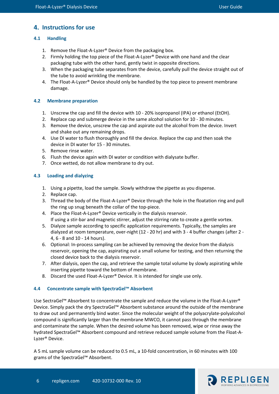# **Instructions for use**

## <span id="page-5-0"></span>**4.1 Handling**

- 1. Remove the Float-A-Lyzer® Device from the packaging box.
- 2. Firmly holding the top piece of the Float-A-Lyzer® Device with one hand and the clear packaging tube with the other hand, gently twist in opposite directions.
- 3. When the packaging tube separates from the device, carefully pull the device straight out of the tube to avoid wrinkling the membrane.
- 4. The Float-A-Lyzer® Device should only be handled by the top piece to prevent membrane damage.

## <span id="page-5-1"></span>**4.2 Membrane preparation**

- 1. Unscrew the cap and fill the device with 10 20% isopropanol (IPA) or ethanol (EtOH).
- 2. Replace cap and submerge device in the same alcohol solution for 10 30 minutes.
- 3. Remove the device, unscrew the cap and aspirate out the alcohol from the device. Invert and shake out any remaining drops.
- 4. Use DI water to flush thoroughly and fill the device. Replace the cap and then soak the device in DI water for 15 - 30 minutes.
- 5. Remove rinse water.
- 6. Flush the device again with DI water or condition with dialysate buffer.
- 7. Once wetted, do not allow membrane to dry out.

## <span id="page-5-2"></span>**4.3 Loading and dialyzing**

- 1. Using a pipette, load the sample. Slowly withdraw the pipette as you dispense.
- 2. Replace cap.
- 3. Thread the body of the Float-A-Lyzer® Device through the hole in the floatation ring and pull the ring up snug beneath the collar of the top-piece.
- 4. Place the Float-A-Lyzer® Device vertically in the dialysis reservoir. If using a stir-bar and magnetic stirrer, adjust the stirring rate to create a gentle vortex.
- 5. Dialyze sample according to specific application requirements. Typically, the samples are dialyzed at room temperature, over-night (12 - 20 hr) and with 3 - 4 buffer changes (after 2 - 4, 6 - 8 and 10 - 14 hours).
- 6. Optional: In-process sampling can be achieved by removing the device from the dialysis reservoir, opening the cap, aspirating out a small volume for testing, and then returning the closed device back to the dialysis reservoir.
- 7. After dialysis, open the cap, and retrieve the sample total volume by slowly aspirating while inserting pipette toward the bottom of membrane.
- 8. Discard the used Float-A-Lyzer® Device. It is intended for single use only.

### <span id="page-5-3"></span>**4.4 Concentrate sample with SpectraGel™ Absorbent**

Use SectraGel™ Absorbent to concentrate the sample and reduce the volume in the Float-A-Lyzer® Device. Simply pack the dry SpectraGel™ Absorbent substance around the outside of the membrane to draw out and permanently bind water. Since the molecular weight of the polyacrylate-polyalcohol compound is significantly larger than the membrane MWCO, it cannot pass through the membrane and contaminate the sample. When the desired volume has been removed, wipe or rinse away the hydrated SpectraGel™ Absorbent compound and retrieve reduced sample volume from the Float-A-Lyzer® Device.

A 5 mL sample volume can be reduced to 0.5 mL, a 10-fold concentration, in 60 minutes with 100 grams of the SpectraGel™ Absorbent.

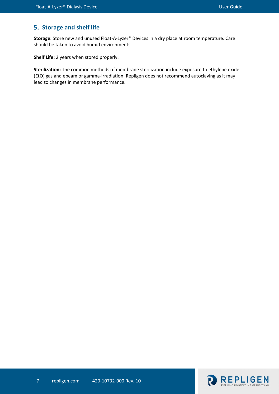# **Storage and shelf life**

**Storage:** Store new and unused Float-A-Lyzer® Devices in a dry place at room temperature. Care should be taken to avoid humid environments.

**Shelf Life:** 2 years when stored properly.

**Sterilization:** The common methods of membrane sterilization include exposure to ethylene oxide (EtO) gas and ebeam or gamma-irradiation. Repligen does not recommend autoclaving as it may lead to changes in membrane performance.